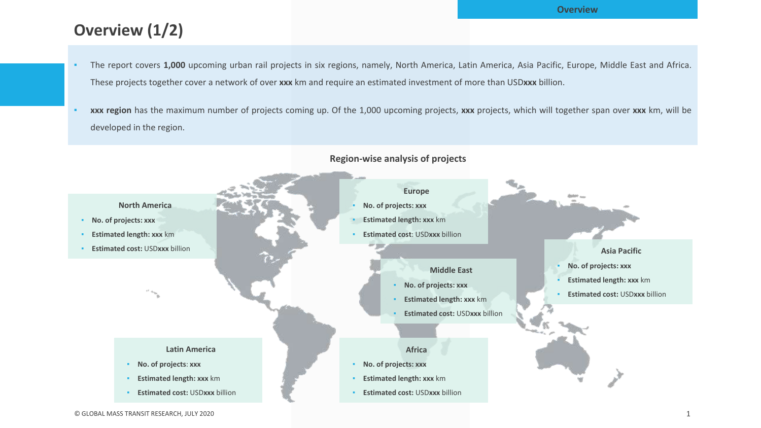# **Overview (1/2)**

- The report covers 1,000 upcoming urban rail projects in six regions, namely, North America, Latin America, Asia Pacific, Europe, Middle East and Africa. These projects together cover a network of over **xxx** km and require an estimated investment of more than USD**xxx** billion.
- **xxx region** has the maximum number of projects coming up. Of the 1,000 upcoming projects, **xxx** projects, which will together span over **xxx** km, will be developed in the region.



#### **Region-wise analysis of projects**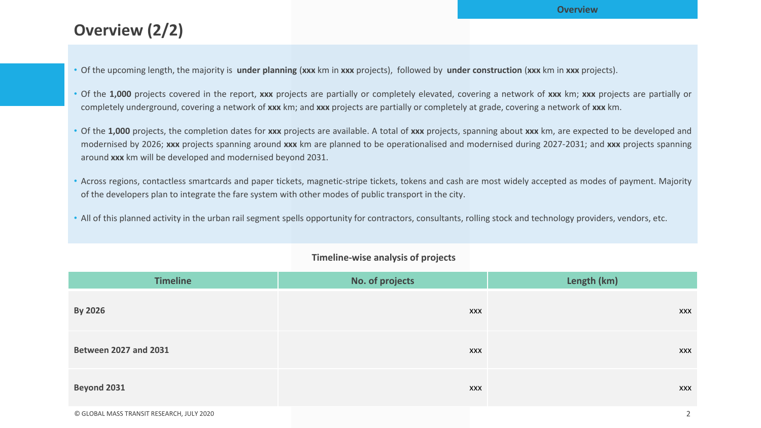# **Overview (2/2)**

- Of the upcoming length, the majority is **under planning** (**xxx** km in **xxx** projects), followed by **under construction** (**xxx** km in **xxx** projects).
- Of the **1,000** projects covered in the report, **xxx** projects are partially or completely elevated, covering a network of **xxx** km; **xxx** projects are partially or completely underground, covering a network of **xxx** km; and **xxx** projects are partially or completely at grade, covering a network of **xxx** km.
- Of the **1,000** projects, the completion dates for **xxx** projects are available. A total of **xxx** projects, spanning about **xxx** km, are expected to be developed and modernised by 2026; **xxx** projects spanning around **xxx** km are planned to be operationalised and modernised during 2027-2031; and **xxx** projects spanning around **xxx** km will be developed and modernised beyond 2031.
- Across regions, contactless smartcards and paper tickets, magnetic-stripe tickets, tokens and cash are most widely accepted as modes of payment. Majority of the developers plan to integrate the fare system with other modes of public transport in the city.
- All of this planned activity in the urban rail segment spells opportunity for contractors, consultants, rolling stock and technology providers, vendors, etc.

| <b>Timeline</b>              | No. of projects | Length (km) |  |
|------------------------------|-----------------|-------------|--|
| <b>By 2026</b>               | XXX             | <b>XXX</b>  |  |
| <b>Between 2027 and 2031</b> | XXX             | <b>XXX</b>  |  |
| Beyond 2031                  | XXX             | <b>XXX</b>  |  |

### **Timeline-wise analysis of projects**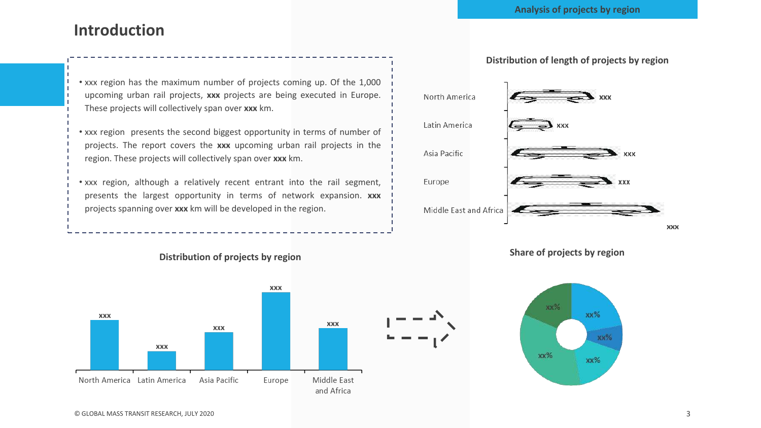## **Introduction**

• xxx region has the maximum number of projects coming up. Of the 1,000 upcoming urban rail projects, **xxx** projects are being executed in Europe. These projects will collectively span over **xxx** km.

• xxx region presents the second biggest opportunity in terms of number of projects. The report covers the **xxx** upcoming urban rail projects in the region. These projects will collectively span over **xxx** km.

• xxx region, although a relatively recent entrant into the rail segment, presents the largest opportunity in terms of network expansion. **xxx** projects spanning over **xxx** km will be developed in the region.

### **Distribution of projects by region Share of projects by region**





XXX



### **Distribution of length of projects by region**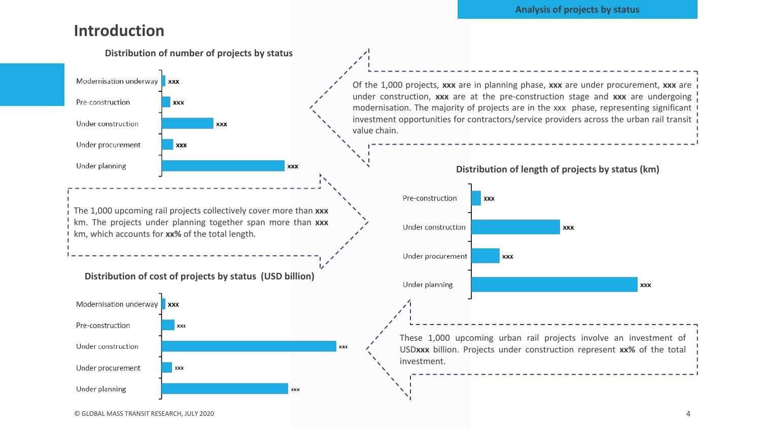#### **Analysis of projects by status**

### **Introduction**

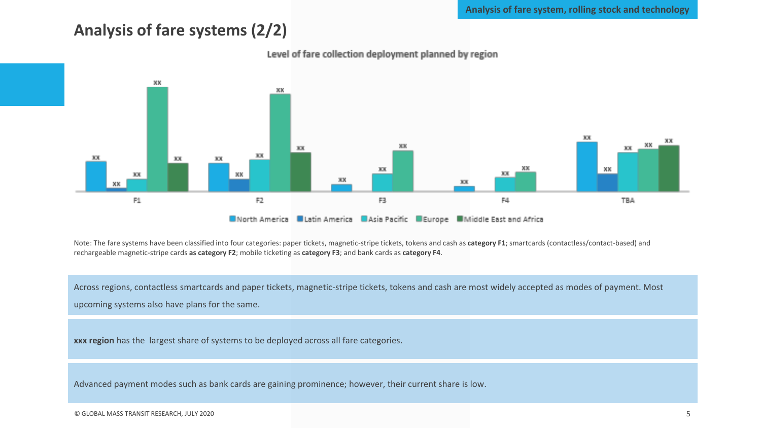**Analysis of fare system, rolling stock and technology**

### **Analysis of fare systems (2/2)**



Level of fare collection deployment planned by region

Note: The fare systems have been classified into four categories: paper tickets, magnetic-stripe tickets, tokens and cash as category F1; smartcards (contactless/contact-based) and rechargeable magnetic-stripe cards **as category F2**; mobile ticketing as **category F3**; and bank cards as **category F4**.

Across regions, contactless smartcards and paper tickets, magnetic-stripe tickets, tokens and cash are most widely accepted as modes of payment. Most upcoming systems also have plans for the same.

**xxx region** has the largest share of systems to be deployed across all fare categories.

Advanced payment modes such as bank cards are gaining prominence; however, their current share is low.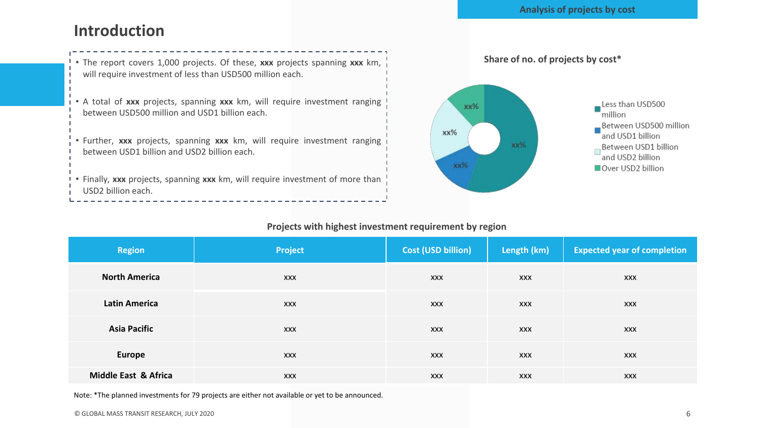### **Introduction**



### Less than USD500 million Between USD500 million and USD1 billion кк% Between USD1 billion and USD2 billion Over USD2 billion

#### **Projects with highest investment requirement by region**

| <b>Region</b>        | Project    | <b>Cost (USD billion)</b> | Length (km) | <b>Expected year of completion</b> |
|----------------------|------------|---------------------------|-------------|------------------------------------|
| <b>North America</b> | <b>XXX</b> | <b>XXX</b>                | <b>XXX</b>  | <b>XXX</b>                         |
| <b>Latin America</b> | <b>XXX</b> | <b>XXX</b>                | <b>XXX</b>  | <b>XXX</b>                         |
| <b>Asia Pacific</b>  | <b>XXX</b> | <b>XXX</b>                | <b>XXX</b>  | <b>XXX</b>                         |
| <b>Europe</b>        | <b>XXX</b> | <b>XXX</b>                | <b>XXX</b>  | <b>XXX</b>                         |
| Middle East & Africa | <b>XXX</b> | <b>XXX</b>                | <b>XXX</b>  | <b>XXX</b>                         |

Note: \*The planned investments for 79 projects are either not available or yet to be announced.

------------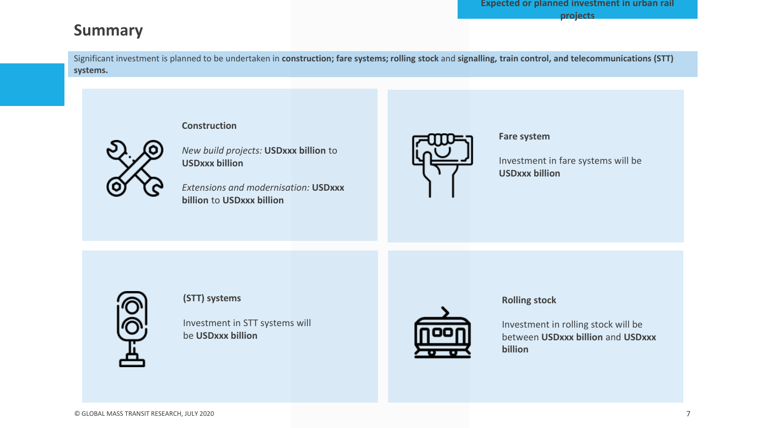## **Summary**

Significant investment is planned to be undertaken in **construction; fare systems; rolling stock** and **signalling, train control, and telecommunications (STT) systems.**

#### **Construction**



*New build projects:* **USDxxx billion** to **USDxxx billion**

*Extensions and modernisation:* **USDxxx billion** to **USDxxx billion**



#### **Fare system**

Investment in fare systems will be **USDxxx billion**



#### **(STT) systems**

Investment in STT systems will be **USDxxx billion**



### **Rolling stock**

Investment in rolling stock will be between **USDxxx billion** and **USDxxx billion**